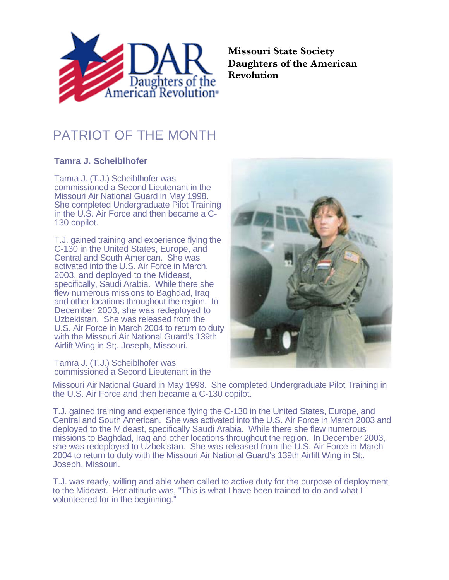

**Missouri State Society Daughters of the American Revolution**

## PATRIOT OF THE MONTH

## **Tamra J. Scheiblhofer**

Tamra J. (T.J.) Scheiblhofer was commissioned a Second Lieutenant in the Missouri Air National Guard in May 1998. She completed Undergraduate Pilot Training in the U.S. Air Force and then became a C-130 copilot.

T.J. gained training and experience flying the C-130 in the United States, Europe, and Central and South American. She was activated into the U.S. Air Force in March, 2003, and deployed to the Mideast, specifically, Saudi Arabia. While there she flew numerous missions to Baghdad, Iraq and other locations throughout the region. In December 2003, she was redeployed to Uzbekistan. She was released from the U.S. Air Force in March 2004 to return to duty with the Missouri Air National Guard's 139th Airlift Wing in St;. Joseph, Missouri.

Tamra J. (T.J.) Scheiblhofer was commissioned a Second Lieutenant in the



Missouri Air National Guard in May 1998. She completed Undergraduate Pilot Training in the U.S. Air Force and then became a C-130 copilot.

T.J. gained training and experience flying the C-130 in the United States, Europe, and Central and South American. She was activated into the U.S. Air Force in March 2003 and deployed to the Mideast, specifically Saudi Arabia. While there she flew numerous missions to Baghdad, Iraq and other locations throughout the region. In December 2003, she was redeployed to Uzbekistan. She was released from the U.S. Air Force in March 2004 to return to duty with the Missouri Air National Guard's 139th Airlift Wing in St;. Joseph, Missouri.

T.J. was ready, willing and able when called to active duty for the purpose of deployment to the Mideast. Her attitude was, "This is what I have been trained to do and what I volunteered for in the beginning."